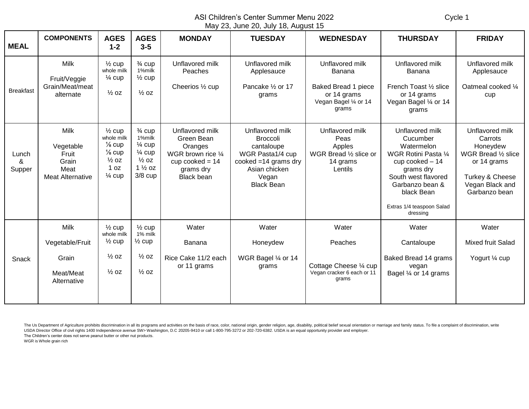ASI Children's Center Summer Menu 2022 Cycle 1 May 23, June 20, July 18, August 15

|                      |                                                                               |                                                                                                                            |                                                                                                                             |                                                                                                                       | $\frac{1}{2}$ 20, 00110 20, 0017 10, 10900. 10                                                                                                |                                                                                                   |                                                                                                                                                                                                    |                                                                                                                                     |
|----------------------|-------------------------------------------------------------------------------|----------------------------------------------------------------------------------------------------------------------------|-----------------------------------------------------------------------------------------------------------------------------|-----------------------------------------------------------------------------------------------------------------------|-----------------------------------------------------------------------------------------------------------------------------------------------|---------------------------------------------------------------------------------------------------|----------------------------------------------------------------------------------------------------------------------------------------------------------------------------------------------------|-------------------------------------------------------------------------------------------------------------------------------------|
| <b>MEAL</b>          | <b>COMPONENTS</b>                                                             | <b>AGES</b><br>$1 - 2$                                                                                                     | <b>AGES</b><br>$3-5$                                                                                                        | <b>MONDAY</b>                                                                                                         | <b>TUESDAY</b>                                                                                                                                | <b>WEDNESDAY</b>                                                                                  | <b>THURSDAY</b>                                                                                                                                                                                    | <b>FRIDAY</b>                                                                                                                       |
| <b>Breakfast</b>     | <b>Milk</b><br>Fruit/Veggie<br>Grain/Meat/meat<br>alternate                   | $\frac{1}{2}$ cup<br>whole milk<br>$\frac{1}{4}$ cup<br>$\frac{1}{2}$ oz                                                   | $\frac{3}{4}$ cup<br>1%milk<br>$\frac{1}{2}$ cup<br>$\frac{1}{2}$ oz                                                        | Unflavored milk<br>Peaches<br>Cheerios 1/2 cup                                                                        | Unflavored milk<br>Applesauce<br>Pancake 1/2 or 17<br>grams                                                                                   | Unflavored milk<br>Banana<br>Baked Bread 1 piece<br>or 14 grams<br>Vegan Bagel 1/4 or 14<br>grams | Unflavored milk<br><b>Banana</b><br>French Toast 1/2 slice<br>or 14 grams<br>Vegan Bagel 1/4 or 14<br>grams                                                                                        | Unflavored milk<br>Applesauce<br>Oatmeal cooked 1/4<br>cup                                                                          |
| Lunch<br>&<br>Supper | <b>Milk</b><br>Vegetable<br>Fruit<br>Grain<br>Meat<br><b>Meat Alternative</b> | $\frac{1}{2}$ cup<br>whole milk<br>$\frac{1}{8}$ cup<br>$\frac{1}{8}$ cup<br>$\frac{1}{2}$ OZ<br>1 oz<br>$\frac{1}{4}$ cup | $\frac{3}{4}$ cup<br>1%milk<br>$\frac{1}{4}$ cup<br>$\frac{1}{4}$ cup<br>$\frac{1}{2}$ oz<br>$1\frac{1}{2}$ oz<br>$3/8$ cup | Unflavored milk<br>Green Bean<br>Oranges<br>WGR brown rice 1/4<br>cup cooked $= 14$<br>grams dry<br><b>Black bean</b> | Unflavored milk<br><b>Broccoli</b><br>cantaloupe<br>WGR Pasta1/4 cup<br>cooked $=14$ grams dry<br>Asian chicken<br>Vegan<br><b>Black Bean</b> | Unflavored milk<br>Peas<br>Apples<br>WGR Bread 1/2 slice or<br>14 grams<br>Lentils                | Unflavored milk<br>Cucumber<br>Watermelon<br>WGR Rotini Pasta 1/4<br>cup cooked - 14<br>grams dry<br>South west flavored<br>Garbanzo bean &<br>black Bean<br>Extras 1/4 teaspoon Salad<br>dressing | Unflavored milk<br>Carrots<br>Honeydew<br>WGR Bread 1/2 slice<br>or 14 grams<br>Turkey & Cheese<br>Vegan Black and<br>Garbanzo bean |
| Snack                | <b>Milk</b><br>Vegetable/Fruit<br>Grain<br>Meat/Meat<br>Alternative           | $\frac{1}{2}$ cup<br>whole milk<br>$\frac{1}{2}$ cup<br>$\frac{1}{2}$ oz<br>$\frac{1}{2}$ oz                               | $\frac{1}{2}$ cup<br>1% milk<br>$\frac{1}{2}$ cup<br>$\frac{1}{2}$ oz<br>$\frac{1}{2}$ oz                                   | Water<br>Banana<br>Rice Cake 11/2 each<br>or 11 grams                                                                 | Water<br>Honeydew<br>WGR Bagel 1/4 or 14<br>grams                                                                                             | Water<br>Peaches<br>Cottage Cheese 1/4 cup<br>Vegan cracker 6 each or 11<br>grams                 | Water<br>Cantaloupe<br>Baked Bread 14 grams<br>vegan<br>Bagel 1/4 or 14 grams                                                                                                                      | Water<br>Mixed fruit Salad<br>Yogurt 1/4 cup                                                                                        |

The Us Department of Agriculture prohibits discrimination in all its programs and activities on the basis of race, color, national origin, gender religion, age, disability, political belief sexual orientation or marriage a USDA Director Office of civil rights 1400 Independence avenue SW> Washington, D.C 20205-9410 or call 1-800-795-3272 or 202-720-6382. USDA is an equal opportunity provider and employer.

The Children's center does not serve peanut butter or other nut products.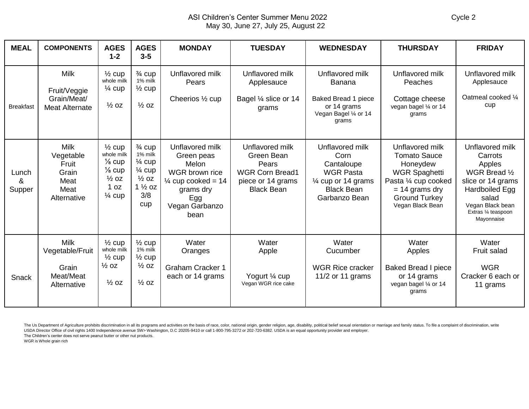## ASI Children's Center Summer Menu 2022 Cycle 2 May 30, June 27, July 25, August 22

| <b>MEAL</b>          | <b>COMPONENTS</b>                                                         | <b>AGES</b><br>$1 - 2$                                                                                                     | <b>AGES</b><br>$3 - 5$                                                                                                        | <b>MONDAY</b>                                                                                                                           | <b>TUESDAY</b>                                                                                             | <b>WEDNESDAY</b>                                                                                                       | <b>THURSDAY</b>                                                                                                                                                    | <b>FRIDAY</b>                                                                                                                                                         |
|----------------------|---------------------------------------------------------------------------|----------------------------------------------------------------------------------------------------------------------------|-------------------------------------------------------------------------------------------------------------------------------|-----------------------------------------------------------------------------------------------------------------------------------------|------------------------------------------------------------------------------------------------------------|------------------------------------------------------------------------------------------------------------------------|--------------------------------------------------------------------------------------------------------------------------------------------------------------------|-----------------------------------------------------------------------------------------------------------------------------------------------------------------------|
| <b>Breakfast</b>     | Milk<br>Fruit/Veggie<br>Grain/Meat/<br><b>Meat Alternate</b>              | $\frac{1}{2}$ cup<br>whole milk<br>$\frac{1}{4}$ cup<br>$\frac{1}{2}$ OZ                                                   | $\frac{3}{4}$ cup<br>1% milk<br>$\frac{1}{2}$ cup<br>$\frac{1}{2}$ OZ                                                         | Unflavored milk<br>Pears<br>Cheerios 1/2 cup                                                                                            | Unflavored milk<br>Applesauce<br>Bagel 1/4 slice or 14<br>grams                                            | Unflavored milk<br>Banana<br><b>Baked Bread 1 piece</b><br>or 14 grams<br>Vegan Bagel 1/4 or 14<br>grams               | Unflavored milk<br>Peaches<br>Cottage cheese<br>vegan bagel 1/4 or 14<br>grams                                                                                     | Unflavored milk<br>Applesauce<br>Oatmeal cooked 1/4<br>cup                                                                                                            |
| Lunch<br>&<br>Supper | <b>Milk</b><br>Vegetable<br>Fruit<br>Grain<br>Meat<br>Meat<br>Alternative | $\frac{1}{2}$ cup<br>whole milk<br>$\frac{1}{8}$ cup<br>$\frac{1}{8}$ cup<br>$\frac{1}{2}$ OZ<br>1 oz<br>$\frac{1}{4}$ cup | $\frac{3}{4}$ cup<br>1% milk<br>$\frac{1}{4}$ cup<br>$\frac{1}{4}$ cup<br>$\frac{1}{2}$ OZ<br>$1\frac{1}{2}$ oz<br>3/8<br>cup | Unflavored milk<br>Green peas<br>Melon<br>WGR brown rice<br>$\frac{1}{4}$ cup cooked = 14<br>grams dry<br>Egg<br>Vegan Garbanzo<br>bean | Unflavored milk<br>Green Bean<br>Pears<br><b>WGR Corn Bread1</b><br>piece or 14 grams<br><b>Black Bean</b> | Unflavored milk<br>Corn<br>Cantaloupe<br><b>WGR Pasta</b><br>1⁄4 cup or 14 grams<br><b>Black Bean</b><br>Garbanzo Bean | Unflavored milk<br><b>Tomato Sauce</b><br>Honeydew<br><b>WGR Spaghetti</b><br>Pasta 1/4 cup cooked<br>$= 14$ grams dry<br><b>Ground Turkey</b><br>Vegan Black Bean | Unflavored milk<br>Carrots<br>Apples<br>WGR Bread 1/2<br>slice or 14 grams<br><b>Hardboiled Egg</b><br>salad<br>Vegan Black bean<br>Extras 1/4 teaspoon<br>Mayonnaise |
| Snack                | <b>Milk</b><br>Vegetable/Fruit<br>Grain<br>Meat/Meat<br>Alternative       | $\frac{1}{2}$ cup<br>whole milk<br>$\frac{1}{2}$ cup<br>$\frac{1}{2}$ OZ<br>$\frac{1}{2}$ OZ                               | $\frac{1}{2}$ cup<br>1% milk<br>$\frac{1}{2}$ cup<br>$\frac{1}{2}$ oz<br>$\frac{1}{2}$ OZ                                     | Water<br>Oranges<br><b>Graham Cracker 1</b><br>each or 14 grams                                                                         | Water<br>Apple<br>Yogurt 1/4 cup<br>Vegan WGR rice cake                                                    | Water<br>Cucumber<br><b>WGR Rice cracker</b><br>11/2 or 11 grams                                                       | Water<br>Apples<br><b>Baked Bread I piece</b><br>or 14 grams<br>vegan bagel 1/4 or 14<br>grams                                                                     | Water<br>Fruit salad<br><b>WGR</b><br>Cracker 6 each or<br>11 grams                                                                                                   |

The Us Department of Agriculture prohibits discrimination in all its programs and activities on the basis of race, color, national origin, gender religion, age, disability, political belief sexual orientation or marriage a USDA Director Office of civil rights 1400 Independence avenue SW> Washington, D.C 20205-9410 or call 1-800-795-3272 or 202-720-6382. USDA is an equal opportunity provider and employer.

The Children's center does not serve peanut butter or other nut products.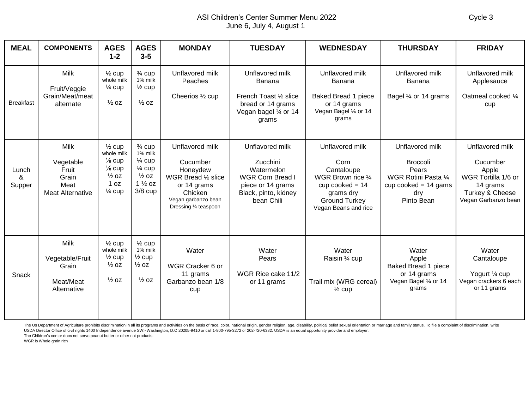## ASI Children's Center Summer Menu 2022 Cycle 3 June 6, July 4, August 1

| <b>MEAL</b>          | <b>COMPONENTS</b>                                                             | <b>AGES</b><br>$1 - 2$                                                                                                     | <b>AGES</b><br>$3 - 5$                                                                                                       | <b>MONDAY</b>                                                                                                                            | <b>TUESDAY</b>                                                                                                                  | <b>WEDNESDAY</b>                                                                                                                              | <b>THURSDAY</b>                                                                                                    | <b>FRIDAY</b>                                                                                                                |
|----------------------|-------------------------------------------------------------------------------|----------------------------------------------------------------------------------------------------------------------------|------------------------------------------------------------------------------------------------------------------------------|------------------------------------------------------------------------------------------------------------------------------------------|---------------------------------------------------------------------------------------------------------------------------------|-----------------------------------------------------------------------------------------------------------------------------------------------|--------------------------------------------------------------------------------------------------------------------|------------------------------------------------------------------------------------------------------------------------------|
| <b>Breakfast</b>     | <b>Milk</b><br>Fruit/Veggie<br>Grain/Meat/meat<br>alternate                   | $\frac{1}{2}$ cup<br>whole milk<br>$\frac{1}{4}$ cup<br>$\frac{1}{2}$ OZ                                                   | $\frac{3}{4}$ cup<br>1% milk<br>$\frac{1}{2}$ cup<br>$\frac{1}{2}$ OZ                                                        | Unflavored milk<br>Peaches<br>Cheerios 1/2 cup                                                                                           | Unflavored milk<br>Banana<br>French Toast 1/2 slice<br>bread or 14 grams<br>Vegan bagel 1/4 or 14<br>grams                      | Unflavored milk<br>Banana<br><b>Baked Bread 1 piece</b><br>or 14 grams<br>Vegan Bagel 1/4 or 14<br>grams                                      | Unflavored milk<br>Banana<br>Bagel 1/4 or 14 grams                                                                 | Unflavored milk<br>Applesauce<br>Oatmeal cooked 1/4<br>cup                                                                   |
| Lunch<br>&<br>Supper | <b>Milk</b><br>Vegetable<br>Fruit<br>Grain<br>Meat<br><b>Meat Alternative</b> | $\frac{1}{2}$ cup<br>whole milk<br>$\frac{1}{8}$ cup<br>$\frac{1}{8}$ cup<br>$\frac{1}{2}$ OZ<br>1 oz<br>$\frac{1}{4}$ cup | $\frac{3}{4}$ cup<br>1% milk<br>$\frac{1}{4}$ cup<br>$\frac{1}{4}$ cup<br>$\frac{1}{2}$ oz<br>$1\frac{1}{2}$ oz<br>$3/8$ cup | Unflavored milk<br>Cucumber<br>Honeydew<br>WGR Bread 1/2 slice<br>or 14 grams<br>Chicken<br>Vegan garbanzo bean<br>Dressing 1/4 teaspoon | Unflavored milk<br>Zucchini<br>Watermelon<br><b>WGR Corn Bread I</b><br>piece or 14 grams<br>Black, pinto, kidney<br>bean Chili | Unflavored milk<br>Corn<br>Cantaloupe<br>WGR Brown rice 1/4<br>cup cooked $= 14$<br>grams dry<br><b>Ground Turkey</b><br>Vegan Beans and rice | Unflavored milk<br><b>Broccoli</b><br>Pears<br>WGR Rotini Pasta 1/4<br>cup cooked = $14$ gams<br>dry<br>Pinto Bean | Unflavored milk<br>Cucumber<br>Apple<br>WGR Tortilla 1/6 or<br>14 grams<br><b>Turkey &amp; Cheese</b><br>Vegan Garbanzo bean |
| Snack                | Milk<br>Vegetable/Fruit<br>Grain<br>Meat/Meat<br>Alternative                  | $\frac{1}{2}$ cup<br>whole milk<br>$\frac{1}{2}$ cup<br>$\frac{1}{2}$ OZ<br>$\frac{1}{2}$ OZ                               | $\frac{1}{2}$ cup<br>1% milk<br>$\frac{1}{2}$ cup<br>$\frac{1}{2}$ OZ<br>$\frac{1}{2}$ OZ                                    | Water<br>WGR Cracker 6 or<br>11 grams<br>Garbanzo bean 1/8<br>cup                                                                        | Water<br>Pears<br>WGR Rice cake 11/2<br>or 11 grams                                                                             | Water<br>Raisin 1/4 cup<br>Trail mix (WRG cereal)<br>$\frac{1}{2}$ cup                                                                        | Water<br>Apple<br>Baked Bread 1 piece<br>or 14 grams<br>Vegan Bagel 1/4 or 14<br>grams                             | Water<br>Cantaloupe<br>Yogurt 1/4 cup<br>Vegan crackers 6 each<br>or 11 grams                                                |

The Us Department of Agriculture prohibits discrimination in all its programs and activities on the basis of race, color, national origin, gender religion, age, disability, political belief sexual orientation or marriage a USDA Director Office of civil rights 1400 Independence avenue SW> Washington, D.C 20205-9410 or call 1-800-795-3272 or 202-720-6382. USDA is an equal opportunity provider and employer.

The Children's center does not serve peanut butter or other nut products.